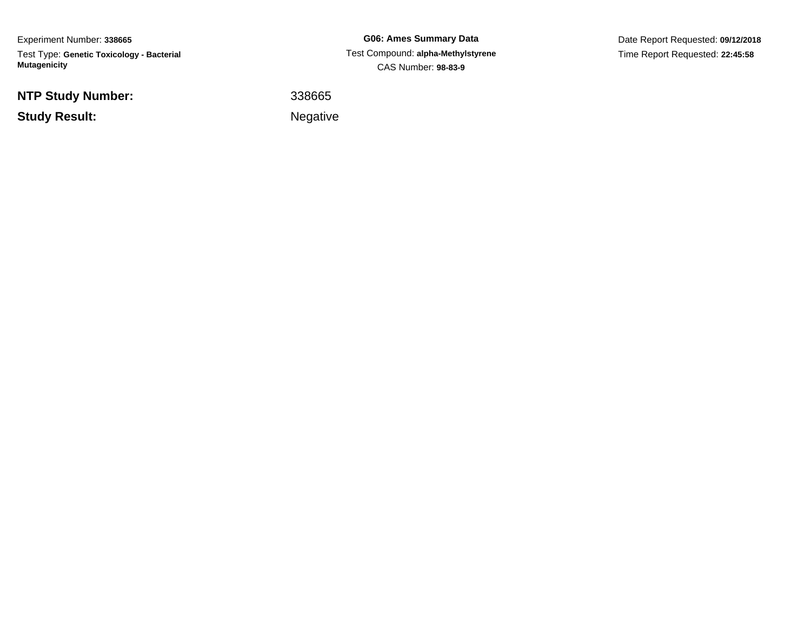Experiment Number: **338665**Test Type: **Genetic Toxicology - Bacterial Mutagenicity**

**NTP Study Number:**

**Study Result:**

**G06: Ames Summary Data** Test Compound: **alpha-Methylstyrene**CAS Number: **98-83-9**

Date Report Requested: **09/12/2018**Time Report Requested: **22:45:58**

<sup>338665</sup>

Negative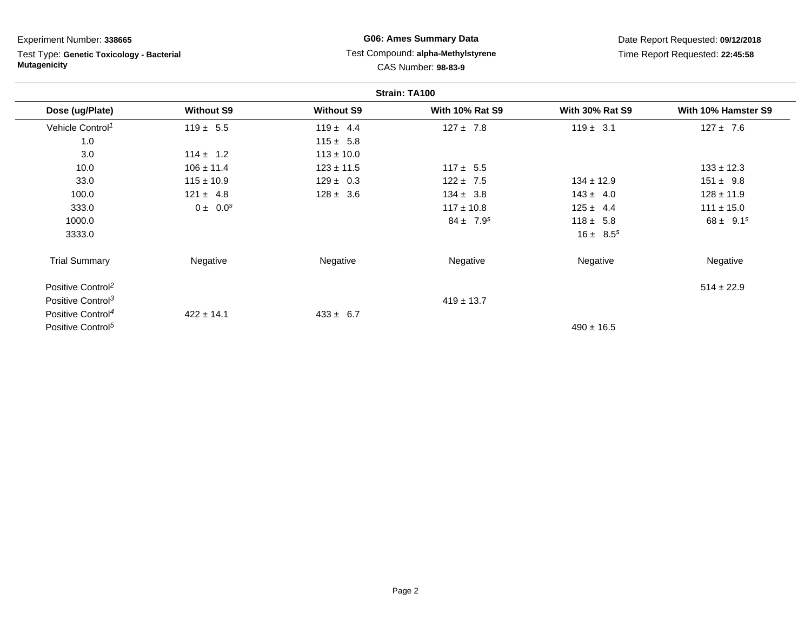Test Type: **Genetic Toxicology - Bacterial Mutagenicity**

# **G06: Ames Summary Data** Test Compound: **alpha-Methylstyrene**CAS Number: **98-83-9**

|                               |                   |                   | Strain: TA100          |                        |                     |
|-------------------------------|-------------------|-------------------|------------------------|------------------------|---------------------|
| Dose (ug/Plate)               | <b>Without S9</b> | <b>Without S9</b> | <b>With 10% Rat S9</b> | <b>With 30% Rat S9</b> | With 10% Hamster S9 |
| Vehicle Control <sup>1</sup>  | $119 \pm 5.5$     | $119 \pm 4.4$     | $127 \pm 7.8$          | $119 \pm 3.1$          | $127 \pm 7.6$       |
| 1.0                           |                   | $115 \pm 5.8$     |                        |                        |                     |
| 3.0                           | $114 \pm 1.2$     | $113 \pm 10.0$    |                        |                        |                     |
| 10.0                          | $106 \pm 11.4$    | $123 \pm 11.5$    | $117 \pm 5.5$          |                        | $133 \pm 12.3$      |
| 33.0                          | $115 \pm 10.9$    | $129 \pm 0.3$     | $122 \pm 7.5$          | $134 \pm 12.9$         | $151 \pm 9.8$       |
| 100.0                         | $121 \pm 4.8$     | $128 \pm 3.6$     | $134 \pm 3.8$          | $143 \pm 4.0$          | $128 \pm 11.9$      |
| 333.0                         | $0 \pm 0.0^s$     |                   | $117 \pm 10.8$         | $125 \pm 4.4$          | $111 \pm 15.0$      |
| 1000.0                        |                   |                   | $84 \pm 7.9^s$         | $118 \pm 5.8$          | $68 \pm 9.1^s$      |
| 3333.0                        |                   |                   |                        | $16 \pm 8.5^s$         |                     |
| <b>Trial Summary</b>          | Negative          | Negative          | Negative               | Negative               | Negative            |
| Positive Control <sup>2</sup> |                   |                   |                        |                        | $514 \pm 22.9$      |
| Positive Control <sup>3</sup> |                   |                   | $419 \pm 13.7$         |                        |                     |
| Positive Control <sup>4</sup> | $422 \pm 14.1$    | $433 \pm 6.7$     |                        |                        |                     |
| Positive Control <sup>5</sup> |                   |                   |                        | $490 \pm 16.5$         |                     |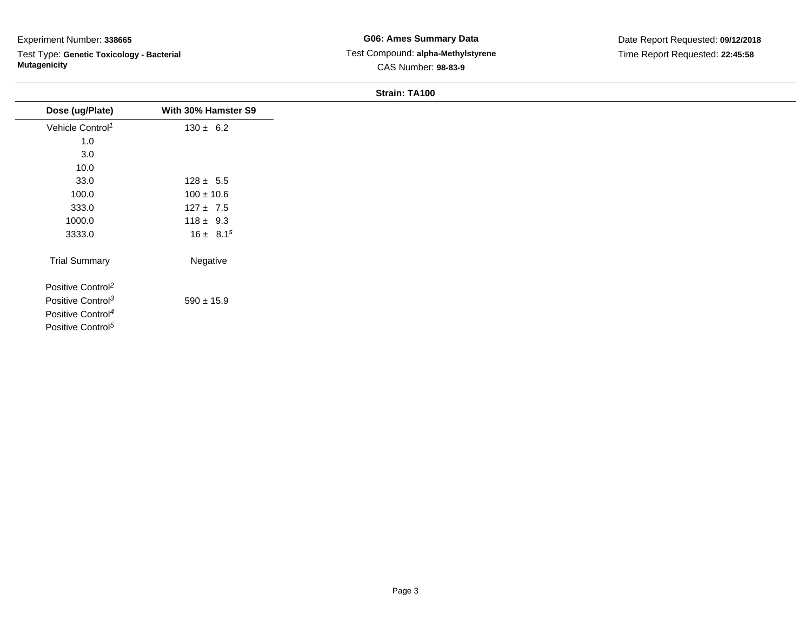Test Type: **Genetic Toxicology - Bacterial Mutagenicity**

| Dose (ug/Plate)               | With 30% Hamster S9 |
|-------------------------------|---------------------|
| Vehicle Control <sup>1</sup>  | $130 \pm 6.2$       |
| $1.0$                         |                     |
| 3.0                           |                     |
| 10.0                          |                     |
| 33.0                          | $128 \pm 5.5$       |
| 100.0                         | $100 \pm 10.6$      |
| 333.0                         | $127 \pm 7.5$       |
| 1000.0                        | $118 \pm 9.3$       |
| 3333.0                        | $16 \pm 8.1^s$      |
| <b>Trial Summary</b>          | Negative            |
| Positive Control <sup>2</sup> |                     |
| Positive Control <sup>3</sup> | $590 \pm 15.9$      |
| Positive Control <sup>4</sup> |                     |
| Positive Control <sup>5</sup> |                     |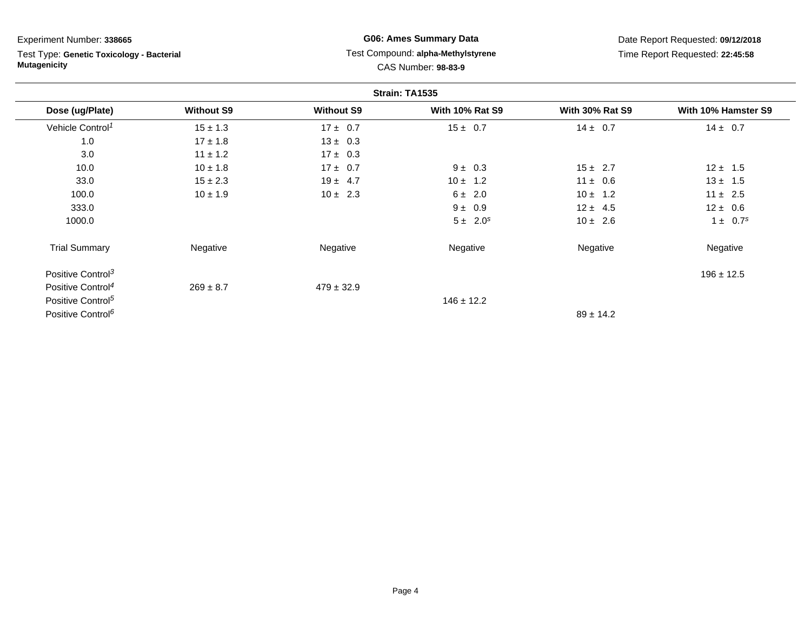Test Type: **Genetic Toxicology - Bacterial Mutagenicity**

# **G06: Ames Summary Data** Test Compound: **alpha-Methylstyrene**CAS Number: **98-83-9**

|                               |                   |                   | Strain: TA1535         |                        |                     |
|-------------------------------|-------------------|-------------------|------------------------|------------------------|---------------------|
| Dose (ug/Plate)               | <b>Without S9</b> | <b>Without S9</b> | <b>With 10% Rat S9</b> | <b>With 30% Rat S9</b> | With 10% Hamster S9 |
| Vehicle Control <sup>1</sup>  | $15 \pm 1.3$      | $17 \pm 0.7$      | $15 \pm 0.7$           | $14 \pm 0.7$           | $14 \pm 0.7$        |
| 1.0                           | $17 \pm 1.8$      | $13 \pm 0.3$      |                        |                        |                     |
| 3.0                           | $11 \pm 1.2$      | $17 \pm 0.3$      |                        |                        |                     |
| 10.0                          | $10 \pm 1.8$      | $17 \pm 0.7$      | $9 \pm 0.3$            | $15 \pm 2.7$           | $12 \pm 1.5$        |
| 33.0                          | $15 \pm 2.3$      | $19 \pm 4.7$      | $10 \pm 1.2$           | $11 \pm 0.6$           | $13 \pm 1.5$        |
| 100.0                         | $10 \pm 1.9$      | $10 \pm 2.3$      | $6 \pm 2.0$            | $10 \pm 1.2$           | $11 \pm 2.5$        |
| 333.0                         |                   |                   | $9 \pm 0.9$            | $12 \pm 4.5$           | $12 \pm 0.6$        |
| 1000.0                        |                   |                   | $5 \pm 2.0^s$          | $10 \pm 2.6$           | $1 \pm 0.7^s$       |
| <b>Trial Summary</b>          | Negative          | Negative          | Negative               | Negative               | Negative            |
| Positive Control <sup>3</sup> |                   |                   |                        |                        | $196 \pm 12.5$      |
| Positive Control <sup>4</sup> | $269 \pm 8.7$     | $479 \pm 32.9$    |                        |                        |                     |
| Positive Control <sup>5</sup> |                   |                   | $146 \pm 12.2$         |                        |                     |
| Positive Control <sup>6</sup> |                   |                   |                        | $89 \pm 14.2$          |                     |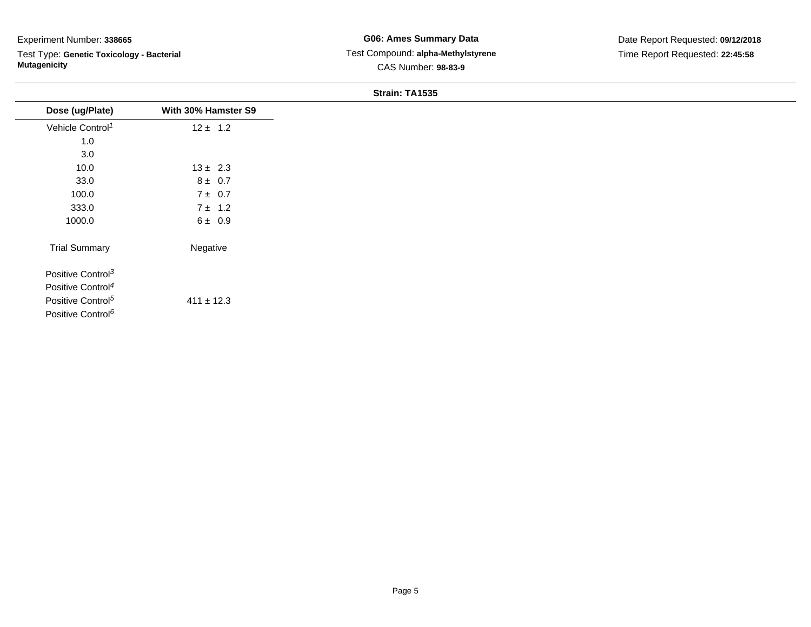Test Type: **Genetic Toxicology - Bacterial Mutagenicity**

| Dose (ug/Plate)               | With 30% Hamster S9 |
|-------------------------------|---------------------|
| Vehicle Control <sup>1</sup>  | $12 \pm 1.2$        |
| 1.0                           |                     |
| 3.0                           |                     |
| 10.0                          | $13 \pm 2.3$        |
| 33.0                          | $8 \pm 0.7$         |
| 100.0                         | $7 \pm 0.7$         |
| 333.0                         | $7 \pm 1.2$         |
| 1000.0                        | $6 \pm 0.9$         |
| <b>Trial Summary</b>          | Negative            |
| Positive Control <sup>3</sup> |                     |
| Positive Control <sup>4</sup> |                     |
| Positive Control <sup>5</sup> | $411 \pm 12.3$      |
| Positive Control <sup>6</sup> |                     |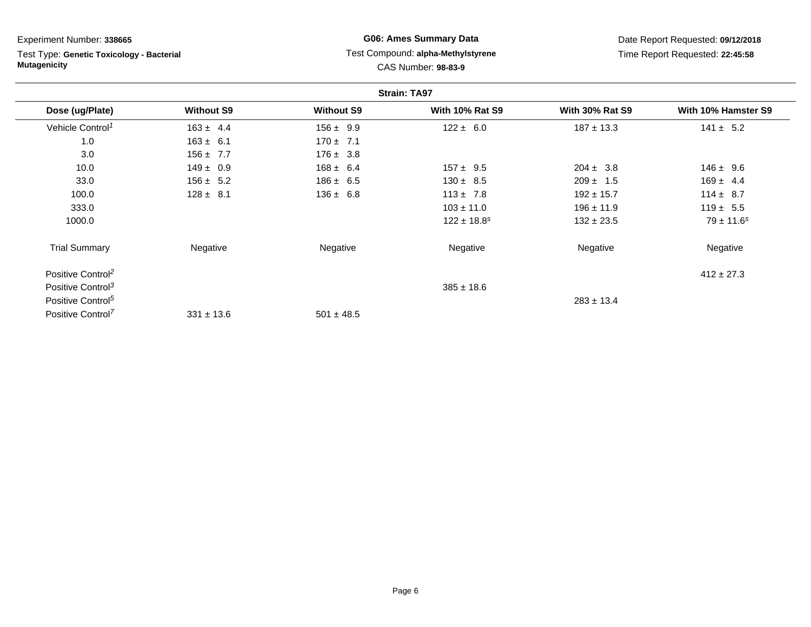Test Type: **Genetic Toxicology - Bacterial Mutagenicity**

# **G06: Ames Summary Data** Test Compound: **alpha-Methylstyrene**CAS Number: **98-83-9**

|                               |                   |                   | <b>Strain: TA97</b>         |                        |                     |
|-------------------------------|-------------------|-------------------|-----------------------------|------------------------|---------------------|
| Dose (ug/Plate)               | <b>Without S9</b> | <b>Without S9</b> | <b>With 10% Rat S9</b>      | <b>With 30% Rat S9</b> | With 10% Hamster S9 |
| Vehicle Control <sup>1</sup>  | $163 \pm 4.4$     | $156 \pm 9.9$     | $122 \pm 6.0$               | $187 \pm 13.3$         | $141 \pm 5.2$       |
| 1.0                           | $163 \pm 6.1$     | $170 \pm 7.1$     |                             |                        |                     |
| 3.0                           | $156 \pm 7.7$     | $176 \pm 3.8$     |                             |                        |                     |
| 10.0                          | $149 \pm 0.9$     | $168 \pm 6.4$     | $157 \pm 9.5$               | $204 \pm 3.8$          | $146 \pm 9.6$       |
| 33.0                          | $156 \pm 5.2$     | $186 \pm 6.5$     | $130 \pm 8.5$               | $209 \pm 1.5$          | $169 \pm 4.4$       |
| 100.0                         | $128 \pm 8.1$     | $136 \pm 6.8$     | $113 \pm 7.8$               | $192 \pm 15.7$         | $114 \pm 8.7$       |
| 333.0                         |                   |                   | $103 \pm 11.0$              | $196 \pm 11.9$         | $119 \pm 5.5$       |
| 1000.0                        |                   |                   | $122 \pm 18.8$ <sup>s</sup> | $132 \pm 23.5$         | $79 \pm 11.6^s$     |
| <b>Trial Summary</b>          | Negative          | Negative          | Negative                    | Negative               | Negative            |
| Positive Control <sup>2</sup> |                   |                   |                             |                        | $412 \pm 27.3$      |
| Positive Control <sup>3</sup> |                   |                   | $385 \pm 18.6$              |                        |                     |
| Positive Control <sup>5</sup> |                   |                   |                             | $283 \pm 13.4$         |                     |
| Positive Control <sup>7</sup> | $331 \pm 13.6$    | $501 \pm 48.5$    |                             |                        |                     |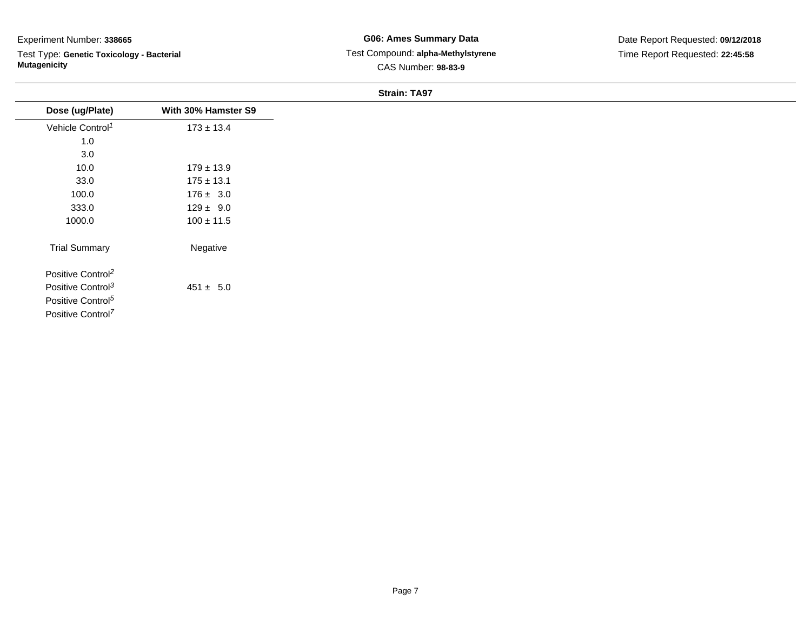Test Type: **Genetic Toxicology - Bacterial Mutagenicity**

| Dose (ug/Plate)               | With 30% Hamster S9 |
|-------------------------------|---------------------|
| Vehicle Control <sup>1</sup>  | $173 \pm 13.4$      |
| 1.0                           |                     |
| 3.0                           |                     |
| 10.0                          | $179 \pm 13.9$      |
| 33.0                          | $175 \pm 13.1$      |
| 100.0                         | $176 \pm 3.0$       |
| 333.0                         | $129 \pm 9.0$       |
| 1000.0                        | $100 \pm 11.5$      |
| <b>Trial Summary</b>          | Negative            |
| Positive Control <sup>2</sup> |                     |
| Positive Control <sup>3</sup> | $451 \pm 5.0$       |
| Positive Control <sup>5</sup> |                     |
| Positive Control <sup>7</sup> |                     |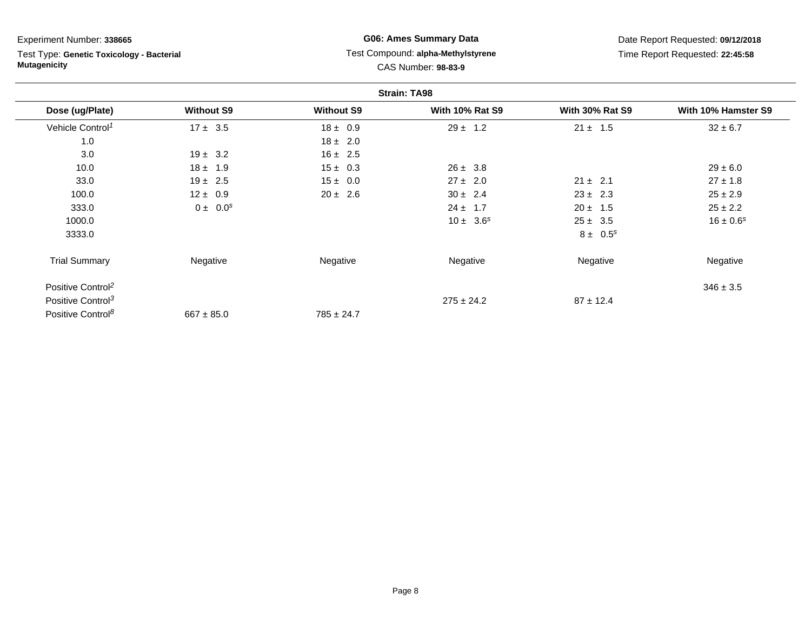Test Type: **Genetic Toxicology - Bacterial Mutagenicity**

# **G06: Ames Summary Data** Test Compound: **alpha-Methylstyrene**CAS Number: **98-83-9**

|                               |                   |                   | <b>Strain: TA98</b>    |                        |                     |
|-------------------------------|-------------------|-------------------|------------------------|------------------------|---------------------|
| Dose (ug/Plate)               | <b>Without S9</b> | <b>Without S9</b> | <b>With 10% Rat S9</b> | <b>With 30% Rat S9</b> | With 10% Hamster S9 |
| Vehicle Control <sup>1</sup>  | $17 \pm 3.5$      | $18 \pm 0.9$      | $29 \pm 1.2$           | $21 \pm 1.5$           | $32 \pm 6.7$        |
| 1.0                           |                   | $18 \pm 2.0$      |                        |                        |                     |
| 3.0                           | $19 \pm 3.2$      | $16 \pm 2.5$      |                        |                        |                     |
| 10.0                          | $18 \pm 1.9$      | $15 \pm 0.3$      | $26 \pm 3.8$           |                        | $29 \pm 6.0$        |
| 33.0                          | $19 \pm 2.5$      | $15 \pm 0.0$      | $27 \pm 2.0$           | $21 \pm 2.1$           | $27 \pm 1.8$        |
| 100.0                         | $12 \pm 0.9$      | $20 \pm 2.6$      | $30 \pm 2.4$           | $23 \pm 2.3$           | $25 \pm 2.9$        |
| 333.0                         | $0 \pm 0.0^s$     |                   | $24 \pm 1.7$           | $20 \pm 1.5$           | $25 \pm 2.2$        |
| 1000.0                        |                   |                   | $10 \pm 3.6^s$         | $25 \pm 3.5$           | $16 \pm 0.6^s$      |
| 3333.0                        |                   |                   |                        | $8 \pm 0.5^s$          |                     |
| <b>Trial Summary</b>          | Negative          | Negative          | Negative               | Negative               | Negative            |
| Positive Control <sup>2</sup> |                   |                   |                        |                        | $346 \pm 3.5$       |
| Positive Control <sup>3</sup> |                   |                   | $275 \pm 24.2$         | $87 \pm 12.4$          |                     |
| Positive Control <sup>8</sup> | $667 \pm 85.0$    | $785 \pm 24.7$    |                        |                        |                     |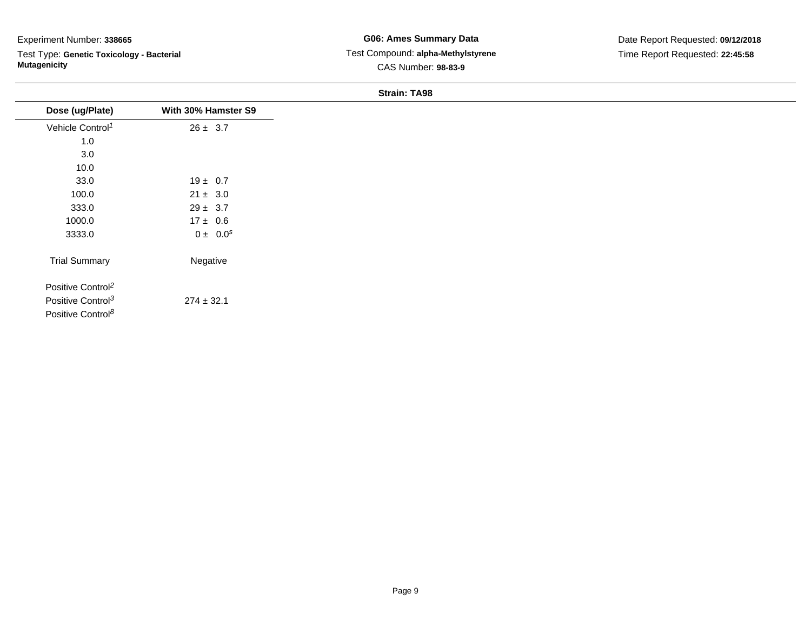Test Type: **Genetic Toxicology - Bacterial Mutagenicity**

**G06: Ames Summary Data** Test Compound: **alpha-Methylstyrene**CAS Number: **98-83-9**

Date Report Requested: **09/12/2018**Time Report Requested: **22:45:58**

| Dose (ug/Plate)               | With 30% Hamster S9 |
|-------------------------------|---------------------|
| Vehicle Control <sup>1</sup>  | $26 \pm 3.7$        |
| 1.0                           |                     |
| 3.0                           |                     |
| 10.0                          |                     |
| 33.0                          | $19 \pm 0.7$        |
| 100.0                         | $21 \pm 3.0$        |
| 333.0                         | $29 \pm 3.7$        |
| 1000.0                        | $17 \pm 0.6$        |
| 3333.0                        | $0 \pm 0.0^s$       |
| <b>Trial Summary</b>          | Negative            |
| Positive Control <sup>2</sup> |                     |
| Positive Control <sup>3</sup> | $274 \pm 32.1$      |
| Positive Control <sup>8</sup> |                     |